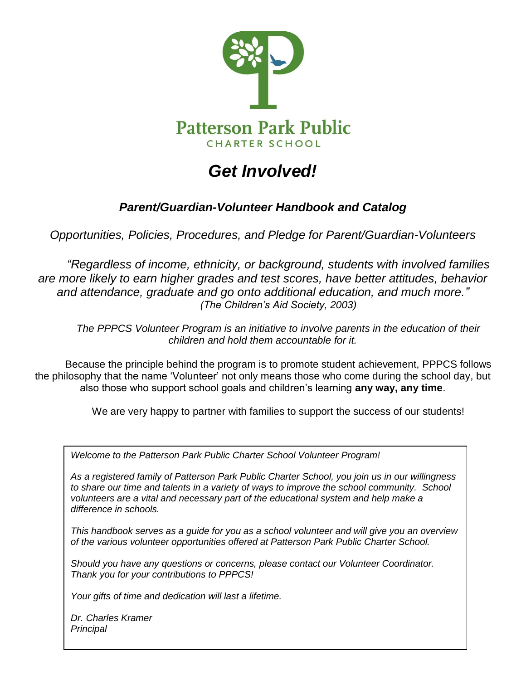

# *Get Involved!*

### *Parent/Guardian-Volunteer Handbook and Catalog*

*Opportunities, Policies, Procedures, and Pledge for Parent/Guardian-Volunteers*

*"Regardless of income, ethnicity, or background, students with involved families are more likely to earn higher grades and test scores, have better attitudes, behavior and attendance, graduate and go onto additional education, and much more." (The Children's Aid Society, 2003)*

*The PPPCS Volunteer Program is an initiative to involve parents in the education of their children and hold them accountable for it.* 

Because the principle behind the program is to promote student achievement, PPPCS follows the philosophy that the name 'Volunteer' not only means those who come during the school day, but also those who support school goals and children's learning **any way, any time**.

We are very happy to partner with families to support the success of our students!

*Welcome to the Patterson Park Public Charter School Volunteer Program!*

*As a registered family of Patterson Park Public Charter School, you join us in our willingness to share our time and talents in a variety of ways to improve the school community. School volunteers are a vital and necessary part of the educational system and help make a difference in schools.*

*This handbook serves as a guide for you as a school volunteer and will give you an overview of the various volunteer opportunities offered at Patterson Park Public Charter School.*

*Should you have any questions or concerns, please contact our Volunteer Coordinator. Thank you for your contributions to PPPCS!* 

*Your gifts of time and dedication will last a lifetime.*

*Dr. Charles Kramer Principal*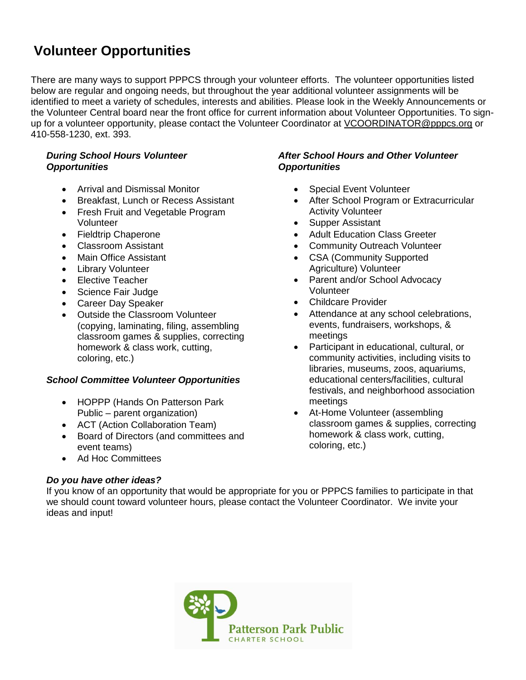## **Volunteer Opportunities**

There are many ways to support PPPCS through your volunteer efforts. The volunteer opportunities listed below are regular and ongoing needs, but throughout the year additional volunteer assignments will be identified to meet a variety of schedules, interests and abilities. Please look in the Weekly Announcements or the Volunteer Central board near the front office for current information about Volunteer Opportunities. To signup for a volunteer opportunity, please contact the Volunteer Coordinator at [VCOORDINATOR@pppcs.org](mailto:VCOORDINATOR@pppcs.org) or 410-558-1230, ext. 393.

#### *During School Hours Volunteer Opportunities*

- Arrival and Dismissal Monitor
- Breakfast, Lunch or Recess Assistant
- Fresh Fruit and Vegetable Program Volunteer
- Fieldtrip Chaperone
- Classroom Assistant
- Main Office Assistant
- Library Volunteer
- Elective Teacher
- Science Fair Judge
- Career Day Speaker
- Outside the Classroom Volunteer (copying, laminating, filing, assembling classroom games & supplies, correcting homework & class work, cutting, coloring, etc.)

#### *School Committee Volunteer Opportunities*

- HOPPP (Hands On Patterson Park Public – parent organization)
- ACT (Action Collaboration Team)
- Board of Directors (and committees and event teams)
- Ad Hoc Committees

#### *Do you have other ideas?*

#### *After School Hours and Other Volunteer Opportunities*

- Special Event Volunteer
- After School Program or Extracurricular Activity Volunteer
- Supper Assistant
- Adult Education Class Greeter
- Community Outreach Volunteer
- CSA (Community Supported Agriculture) Volunteer
- Parent and/or School Advocacy Volunteer
- Childcare Provider
- Attendance at any school celebrations, events, fundraisers, workshops, & meetings
- Participant in educational, cultural, or community activities, including visits to libraries, museums, zoos, aquariums, educational centers/facilities, cultural festivals, and neighborhood association meetings
- At-Home Volunteer (assembling classroom games & supplies, correcting homework & class work, cutting, coloring, etc.)

If you know of an opportunity that would be appropriate for you or PPPCS families to participate in that we should count toward volunteer hours, please contact the Volunteer Coordinator. We invite your ideas and input!

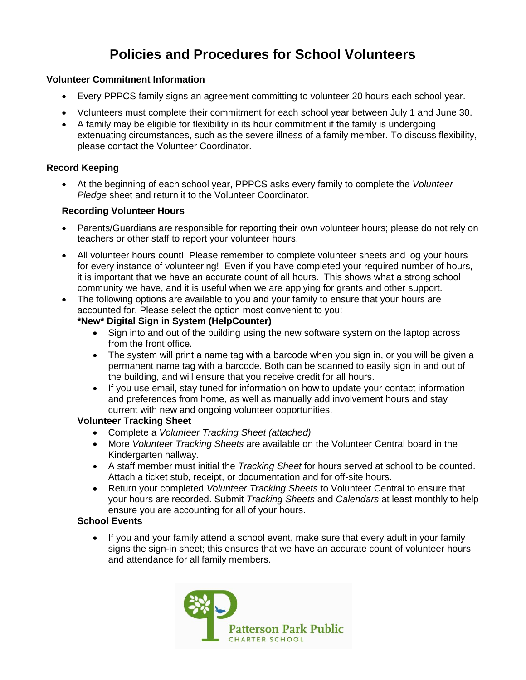## **Policies and Procedures for School Volunteers**

#### **Volunteer Commitment Information**

- Every PPPCS family signs an agreement committing to volunteer 20 hours each school year.
- Volunteers must complete their commitment for each school year between July 1 and June 30.
- A family may be eligible for flexibility in its hour commitment if the family is undergoing extenuating circumstances, such as the severe illness of a family member. To discuss flexibility, please contact the Volunteer Coordinator.

#### **Record Keeping**

 At the beginning of each school year, PPPCS asks every family to complete the *Volunteer Pledge* sheet and return it to the Volunteer Coordinator.

#### **Recording Volunteer Hours**

- Parents/Guardians are responsible for reporting their own volunteer hours; please do not rely on teachers or other staff to report your volunteer hours.
- All volunteer hours count! Please remember to complete volunteer sheets and log your hours for every instance of volunteering! Even if you have completed your required number of hours, it is important that we have an accurate count of all hours. This shows what a strong school community we have, and it is useful when we are applying for grants and other support.
- The following options are available to you and your family to ensure that your hours are accounted for. Please select the option most convenient to you:

#### **\*New\* Digital Sign in System (HelpCounter)**

- Sign into and out of the building using the new software system on the laptop across from the front office.
- The system will print a name tag with a barcode when you sign in, or you will be given a permanent name tag with a barcode. Both can be scanned to easily sign in and out of the building, and will ensure that you receive credit for all hours.
- If you use email, stay tuned for information on how to update your contact information and preferences from home, as well as manually add involvement hours and stay current with new and ongoing volunteer opportunities.

#### **Volunteer Tracking Sheet**

- Complete a *Volunteer Tracking Sheet (attached)*
- More *Volunteer Tracking Sheets* are available on the Volunteer Central board in the Kindergarten hallway*.*
- A staff member must initial the *Tracking Sheet* for hours served at school to be counted. Attach a ticket stub, receipt, or documentation and for off-site hours.
- Return your completed *Volunteer Tracking Sheets* to Volunteer Central to ensure that your hours are recorded. Submit *Tracking Sheets* and *Calendars* at least monthly to help ensure you are accounting for all of your hours.

#### **School Events**

• If you and your family attend a school event, make sure that every adult in your family signs the sign-in sheet; this ensures that we have an accurate count of volunteer hours and attendance for all family members.

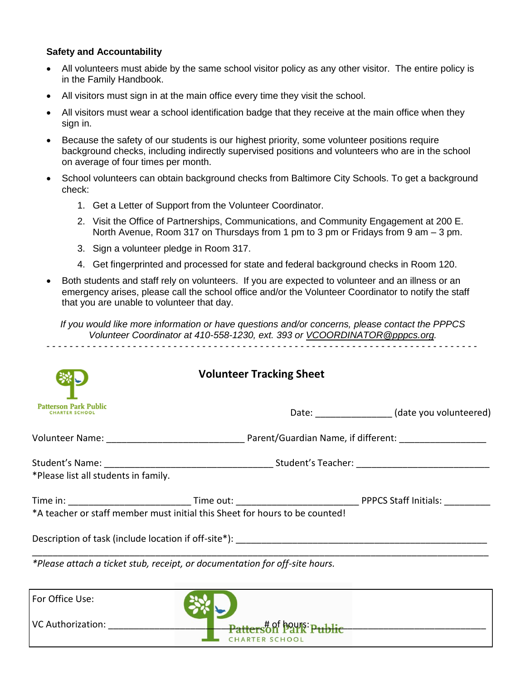#### **Safety and Accountability**

- All volunteers must abide by the same school visitor policy as any other visitor. The entire policy is in the Family Handbook.
- All visitors must sign in at the main office every time they visit the school.
- All visitors must wear a school identification badge that they receive at the main office when they sign in.
- Because the safety of our students is our highest priority, some volunteer positions require background checks, including indirectly supervised positions and volunteers who are in the school on average of four times per month.
- School volunteers can obtain background checks from Baltimore City Schools. To get a background check:
	- 1. Get a Letter of Support from the Volunteer Coordinator.
	- 2. Visit the Office of Partnerships, Communications, and Community Engagement at 200 E. North Avenue, Room 317 on Thursdays from 1 pm to 3 pm or Fridays from 9 am – 3 pm.
	- 3. Sign a volunteer pledge in Room 317.
	- 4. Get fingerprinted and processed for state and federal background checks in Room 120.
- Both students and staff rely on volunteers. If you are expected to volunteer and an illness or an emergency arises, please call the school office and/or the Volunteer Coordinator to notify the staff that you are unable to volunteer that day.

*If you would like more information or have questions and/or concerns, please contact the PPPCS Volunteer Coordinator at 410-558-1230, ext. 393 or [VCOORDINATOR@pppcs.org.](mailto:VCOORDINATOR@pppcs.org) - - - - - - - - - - - - - - - - - - - - - - - - - - - - - - - - - - - - - - - - - - - - - - - - - - - - - - - - - - - - - - - - - - - - - - - - - - -*

|                                      | <b>Volunteer Tracking Sheet</b>                                                                                |                                               |  |
|--------------------------------------|----------------------------------------------------------------------------------------------------------------|-----------------------------------------------|--|
| <b>Patterson Park Public</b>         |                                                                                                                | Date: _________________(date you volunteered) |  |
|                                      | Volunteer Name: 1990 Married March 2014 (Cuardian Name, if different: 1990) Married Married Married Married Ma |                                               |  |
| *Please list all students in family. |                                                                                                                |                                               |  |
|                                      |                                                                                                                |                                               |  |
|                                      | *A teacher or staff member must initial this Sheet for hours to be counted!                                    |                                               |  |
|                                      |                                                                                                                |                                               |  |

*\*Please attach a ticket stub, receipt, or documentation for off-site hours.*

| For Office Use:          |                                                        |
|--------------------------|--------------------------------------------------------|
| <b>VC Authorization:</b> | <b>Patters of park Public</b><br><b>CHARTER SCHOOL</b> |